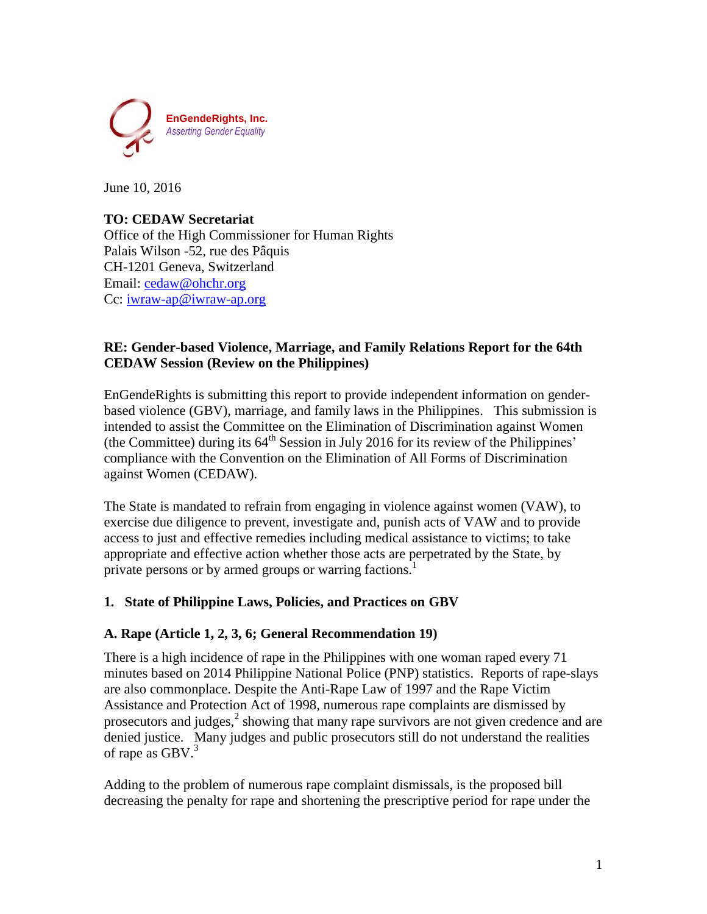

June 10, 2016

### **TO: CEDAW Secretariat**

Office of the High Commissioner for Human Rights Palais Wilson -52, rue des Pâquis CH-1201 Geneva, Switzerland Email: [cedaw@ohchr.org](mailto:cedaw@ohchr.org) Cc: [iwraw-ap@iwraw-ap.org](mailto:iwraw-ap@iwraw-ap.org)

### **RE: Gender-based Violence, Marriage, and Family Relations Report for the 64th CEDAW Session (Review on the Philippines)**

EnGendeRights is submitting this report to provide independent information on genderbased violence (GBV), marriage, and family laws in the Philippines. This submission is intended to assist the Committee on the Elimination of Discrimination against Women (the Committee) during its  $64<sup>th</sup>$  Session in July 2016 for its review of the Philippines' compliance with the Convention on the Elimination of All Forms of Discrimination against Women (CEDAW).

The State is mandated to refrain from engaging in violence against women (VAW), to exercise due diligence to prevent, investigate and, punish acts of VAW and to provide access to just and effective remedies including medical assistance to victims; to take appropriate and effective action whether those acts are perpetrated by the State, by private persons or by armed groups or warring factions.<sup>1</sup>

### **1. State of Philippine Laws, Policies, and Practices on GBV**

### **A. Rape (Article 1, 2, 3, 6; General Recommendation 19)**

There is a high incidence of rape in the Philippines with one woman raped every 71 minutes based on 2014 Philippine National Police (PNP) statistics. Reports of rape-slays are also commonplace. Despite the Anti-Rape Law of 1997 and the Rape Victim Assistance and Protection Act of 1998, numerous rape complaints are dismissed by prosecutors and judges, $<sup>2</sup>$  showing that many rape survivors are not given credence and are</sup> denied justice. Many judges and public prosecutors still do not understand the realities of rape as  $GBV$ .<sup>3</sup>

Adding to the problem of numerous rape complaint dismissals, is the proposed bill decreasing the penalty for rape and shortening the prescriptive period for rape under the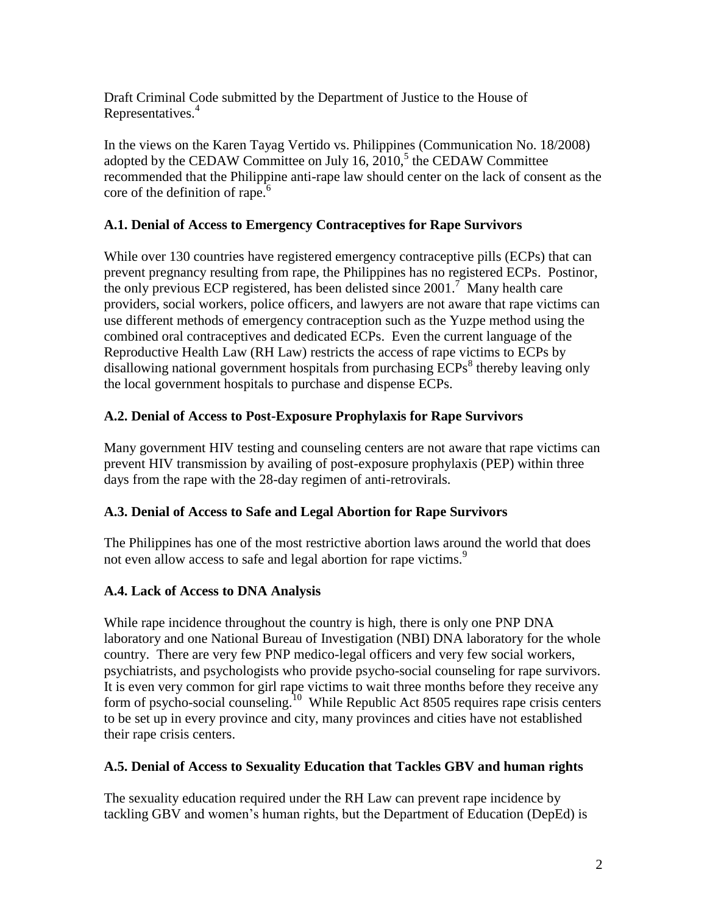Draft Criminal Code submitted by the Department of Justice to the House of Representatives.<sup>4</sup>

In the views on the Karen Tayag Vertido vs. Philippines (Communication No. 18/2008) adopted by the CEDAW Committee on July 16,  $2010<sup>5</sup>$  the CEDAW Committee recommended that the Philippine anti-rape law should center on the lack of consent as the core of the definition of rape. $6$ 

### **A.1. Denial of Access to Emergency Contraceptives for Rape Survivors**

While over 130 countries have registered emergency contraceptive pills (ECPs) that can prevent pregnancy resulting from rape, the Philippines has no registered ECPs. Postinor, the only previous ECP registered, has been delisted since  $2001$ .<sup>7</sup> Many health care providers, social workers, police officers, and lawyers are not aware that rape victims can use different methods of emergency contraception such as the Yuzpe method using the combined oral contraceptives and dedicated ECPs. Even the current language of the Reproductive Health Law (RH Law) restricts the access of rape victims to ECPs by disallowing national government hospitals from purchasing  $\overline{ECPs}^8$  thereby leaving only the local government hospitals to purchase and dispense ECPs.

# **A.2. Denial of Access to Post-Exposure Prophylaxis for Rape Survivors**

Many government HIV testing and counseling centers are not aware that rape victims can prevent HIV transmission by availing of post-exposure prophylaxis (PEP) within three days from the rape with the 28-day regimen of anti-retrovirals.

# **A.3. Denial of Access to Safe and Legal Abortion for Rape Survivors**

The Philippines has one of the most restrictive abortion laws around the world that does not even allow access to safe and legal abortion for rape victims.<sup>9</sup>

# **A.4. Lack of Access to DNA Analysis**

While rape incidence throughout the country is high, there is only one PNP DNA laboratory and one National Bureau of Investigation (NBI) DNA laboratory for the whole country. There are very few PNP medico-legal officers and very few social workers, psychiatrists, and psychologists who provide psycho-social counseling for rape survivors. It is even very common for girl rape victims to wait three months before they receive any form of psycho-social counseling.<sup>10</sup> While Republic Act 8505 requires rape crisis centers to be set up in every province and city, many provinces and cities have not established their rape crisis centers.

### **A.5. Denial of Access to Sexuality Education that Tackles GBV and human rights**

The sexuality education required under the RH Law can prevent rape incidence by tackling GBV and women's human rights, but the Department of Education (DepEd) is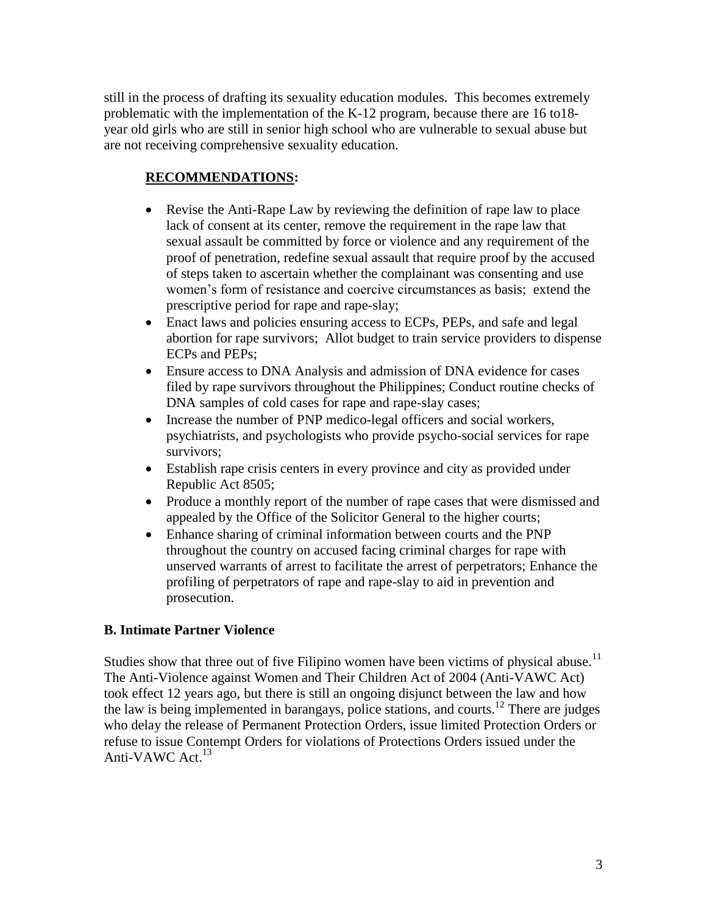still in the process of drafting its sexuality education modules. This becomes extremely problematic with the implementation of the K-12 program, because there are 16 to18 year old girls who are still in senior high school who are vulnerable to sexual abuse but are not receiving comprehensive sexuality education.

# **RECOMMENDATIONS:**

- Revise the Anti-Rape Law by reviewing the definition of rape law to place lack of consent at its center, remove the requirement in the rape law that sexual assault be committed by force or violence and any requirement of the proof of penetration, redefine sexual assault that require proof by the accused of steps taken to ascertain whether the complainant was consenting and use women's form of resistance and coercive circumstances as basis; extend the prescriptive period for rape and rape-slay;
- Enact laws and policies ensuring access to ECPs, PEPs, and safe and legal abortion for rape survivors; Allot budget to train service providers to dispense ECPs and PEPs;
- Ensure access to DNA Analysis and admission of DNA evidence for cases filed by rape survivors throughout the Philippines; Conduct routine checks of DNA samples of cold cases for rape and rape-slay cases;
- Increase the number of PNP medico-legal officers and social workers, psychiatrists, and psychologists who provide psycho-social services for rape survivors;
- Establish rape crisis centers in every province and city as provided under Republic Act 8505;
- Produce a monthly report of the number of rape cases that were dismissed and appealed by the Office of the Solicitor General to the higher courts;
- Enhance sharing of criminal information between courts and the PNP throughout the country on accused facing criminal charges for rape with unserved warrants of arrest to facilitate the arrest of perpetrators; Enhance the profiling of perpetrators of rape and rape-slay to aid in prevention and prosecution.

### **B. Intimate Partner Violence**

Studies show that three out of five Filipino women have been victims of physical abuse.<sup>11</sup> The Anti-Violence against Women and Their Children Act of 2004 (Anti-VAWC Act) took effect 12 years ago, but there is still an ongoing disjunct between the law and how the law is being implemented in barangays, police stations, and courts.<sup>12</sup> There are judges who delay the release of Permanent Protection Orders, issue limited Protection Orders or refuse to issue Contempt Orders for violations of Protections Orders issued under the Anti-VAWC Act. $13$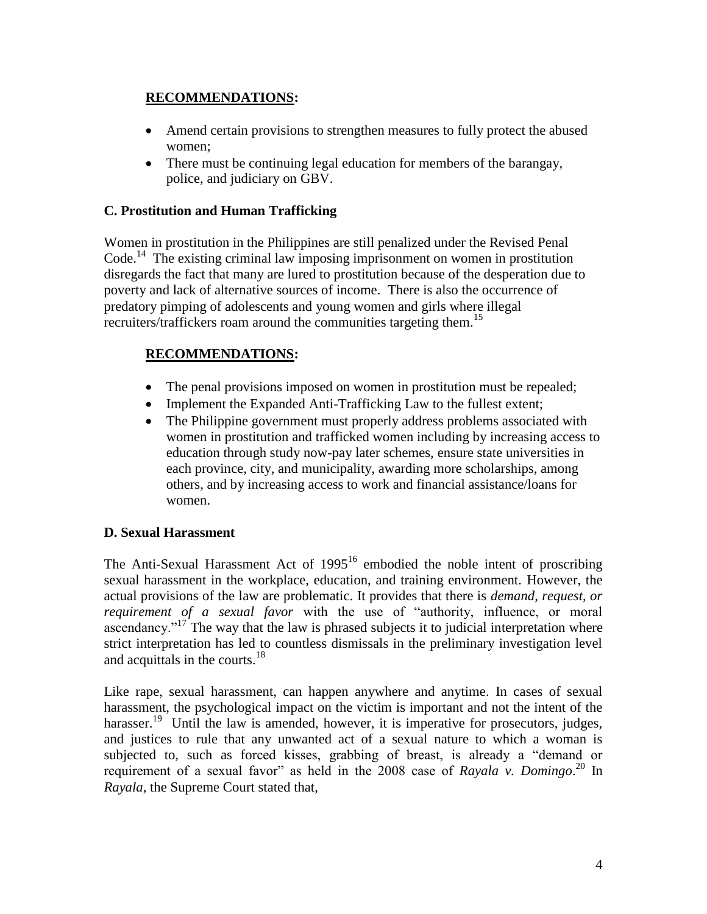### **RECOMMENDATIONS:**

- Amend certain provisions to strengthen measures to fully protect the abused women;
- There must be continuing legal education for members of the barangay, police, and judiciary on GBV.

### **C. Prostitution and Human Trafficking**

Women in prostitution in the Philippines are still penalized under the Revised Penal Code.<sup>14</sup> The existing criminal law imposing imprisonment on women in prostitution disregards the fact that many are lured to prostitution because of the desperation due to poverty and lack of alternative sources of income. There is also the occurrence of predatory pimping of adolescents and young women and girls where illegal recruiters/traffickers roam around the communities targeting them.<sup>15</sup>

# **RECOMMENDATIONS:**

- The penal provisions imposed on women in prostitution must be repealed;
- Implement the Expanded Anti-Trafficking Law to the fullest extent;
- The Philippine government must properly address problems associated with women in prostitution and trafficked women including by increasing access to education through study now-pay later schemes, ensure state universities in each province, city, and municipality, awarding more scholarships, among others, and by increasing access to work and financial assistance/loans for women.

### **D. Sexual Harassment**

The Anti-Sexual Harassment Act of  $1995<sup>16</sup>$  embodied the noble intent of proscribing sexual harassment in the workplace, education, and training environment. However, the actual provisions of the law are problematic. It provides that there is *demand, request, or requirement of a sexual favor* with the use of "authority, influence, or moral ascendancy."<sup>17'</sup> The way that the law is phrased subjects it to judicial interpretation where strict interpretation has led to countless dismissals in the preliminary investigation level and acquittals in the courts.<sup>18</sup>

Like rape, sexual harassment, can happen anywhere and anytime. In cases of sexual harassment, the psychological impact on the victim is important and not the intent of the harasser.<sup>19</sup> Until the law is amended, however, it is imperative for prosecutors, judges, and justices to rule that any unwanted act of a sexual nature to which a woman is subjected to, such as forced kisses, grabbing of breast, is already a "demand or requirement of a sexual favor" as held in the 2008 case of *Rayala v. Domingo*. <sup>20</sup> In *Rayala*, the Supreme Court stated that,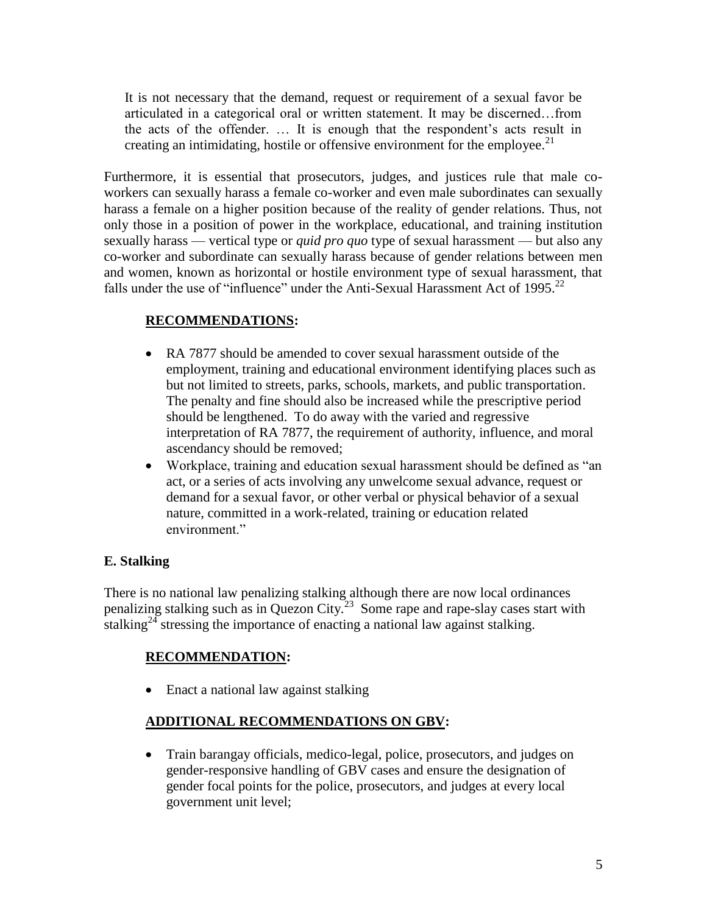It is not necessary that the demand, request or requirement of a sexual favor be articulated in a categorical oral or written statement. It may be discerned…from the acts of the offender. … It is enough that the respondent's acts result in creating an intimidating, hostile or offensive environment for the employee.<sup>21</sup>

Furthermore, it is essential that prosecutors, judges, and justices rule that male coworkers can sexually harass a female co-worker and even male subordinates can sexually harass a female on a higher position because of the reality of gender relations. Thus, not only those in a position of power in the workplace, educational, and training institution sexually harass — vertical type or *quid pro quo* type of sexual harassment — but also any co-worker and subordinate can sexually harass because of gender relations between men and women, known as horizontal or hostile environment type of sexual harassment, that falls under the use of "influence" under the Anti-Sexual Harassment Act of 1995.<sup>22</sup>

### **RECOMMENDATIONS:**

- RA 7877 should be amended to cover sexual harassment outside of the employment, training and educational environment identifying places such as but not limited to streets, parks, schools, markets, and public transportation. The penalty and fine should also be increased while the prescriptive period should be lengthened. To do away with the varied and regressive interpretation of RA 7877, the requirement of authority, influence, and moral ascendancy should be removed;
- Workplace, training and education sexual harassment should be defined as "an act, or a series of acts involving any unwelcome sexual advance, request or demand for a sexual favor, or other verbal or physical behavior of a sexual nature, committed in a work-related, training or education related environment."

### **E. Stalking**

There is no national law penalizing stalking although there are now local ordinances penalizing stalking such as in Quezon City.<sup>23</sup> Some rape and rape-slay cases start with stalking<sup>24</sup> stressing the importance of enacting a national law against stalking.

# **RECOMMENDATION:**

• Enact a national law against stalking

### **ADDITIONAL RECOMMENDATIONS ON GBV:**

 Train barangay officials, medico-legal, police, prosecutors, and judges on gender-responsive handling of GBV cases and ensure the designation of gender focal points for the police, prosecutors, and judges at every local government unit level;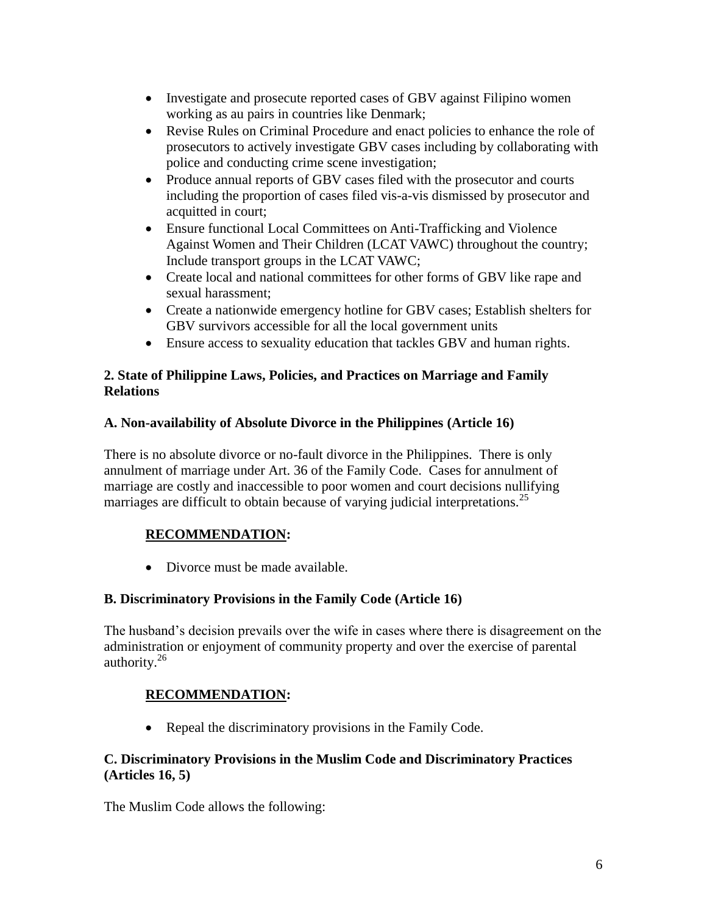- Investigate and prosecute reported cases of GBV against Filipino women working as au pairs in countries like Denmark;
- Revise Rules on Criminal Procedure and enact policies to enhance the role of prosecutors to actively investigate GBV cases including by collaborating with police and conducting crime scene investigation;
- Produce annual reports of GBV cases filed with the prosecutor and courts including the proportion of cases filed vis-a-vis dismissed by prosecutor and acquitted in court;
- Ensure functional Local Committees on Anti-Trafficking and Violence Against Women and Their Children (LCAT VAWC) throughout the country; Include transport groups in the LCAT VAWC;
- Create local and national committees for other forms of GBV like rape and sexual harassment;
- Create a nationwide emergency hotline for GBV cases; Establish shelters for GBV survivors accessible for all the local government units
- Ensure access to sexuality education that tackles GBV and human rights.

### **2. State of Philippine Laws, Policies, and Practices on Marriage and Family Relations**

### **A. Non-availability of Absolute Divorce in the Philippines (Article 16)**

There is no absolute divorce or no-fault divorce in the Philippines. There is only annulment of marriage under Art. 36 of the Family Code. Cases for annulment of marriage are costly and inaccessible to poor women and court decisions nullifying marriages are difficult to obtain because of varying judicial interpretations.<sup>25</sup>

# **RECOMMENDATION:**

• Divorce must be made available.

# **B. Discriminatory Provisions in the Family Code (Article 16)**

The husband's decision prevails over the wife in cases where there is disagreement on the administration or enjoyment of community property and over the exercise of parental authority. $26$ 

# **RECOMMENDATION:**

• Repeal the discriminatory provisions in the Family Code.

### **C. Discriminatory Provisions in the Muslim Code and Discriminatory Practices (Articles 16, 5)**

The Muslim Code allows the following: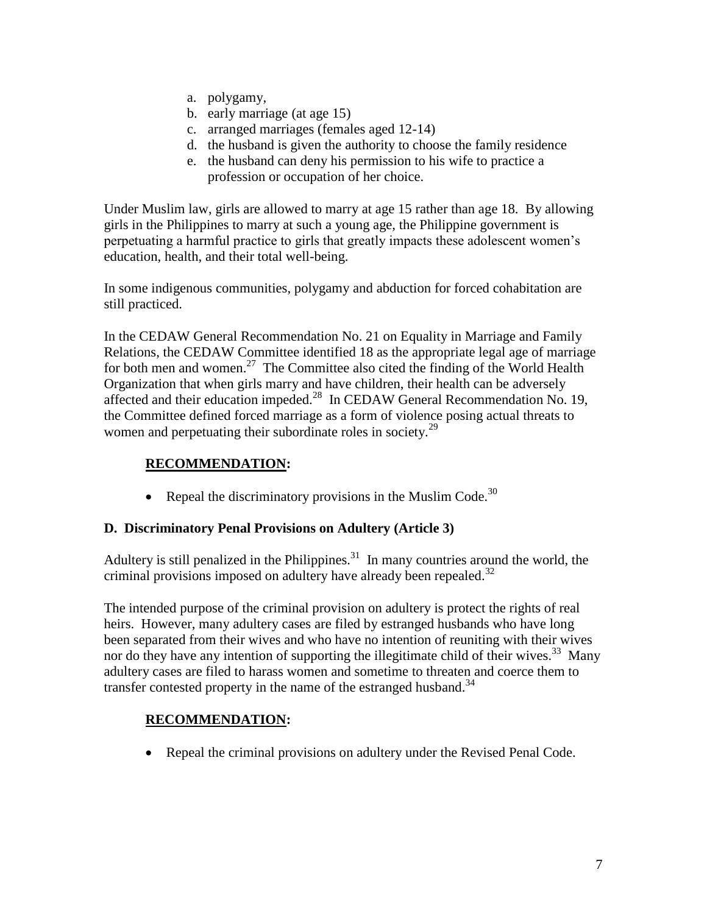- a. polygamy,
- b. early marriage (at age 15)
- c. arranged marriages (females aged 12-14)
- d. the husband is given the authority to choose the family residence
- e. the husband can deny his permission to his wife to practice a profession or occupation of her choice.

Under Muslim law, girls are allowed to marry at age 15 rather than age 18. By allowing girls in the Philippines to marry at such a young age, the Philippine government is perpetuating a harmful practice to girls that greatly impacts these adolescent women's education, health, and their total well-being.

In some indigenous communities, polygamy and abduction for forced cohabitation are still practiced.

In the CEDAW General Recommendation No. 21 on Equality in Marriage and Family Relations, the CEDAW Committee identified 18 as the appropriate legal age of marriage for both men and women.<sup>27</sup> The Committee also cited the finding of the World Health Organization that when girls marry and have children, their health can be adversely affected and their education impeded.<sup>28</sup> In CEDAW General Recommendation No. 19, the Committee defined forced marriage as a form of violence posing actual threats to women and perpetuating their subordinate roles in society. $^{29}$ 

## **RECOMMENDATION:**

• Repeal the discriminatory provisions in the Muslim Code.<sup>30</sup>

#### **D. Discriminatory Penal Provisions on Adultery (Article 3)**

Adultery is still penalized in the Philippines. $31$  In many countries around the world, the criminal provisions imposed on adultery have already been repealed. $32$ 

The intended purpose of the criminal provision on adultery is protect the rights of real heirs. However, many adultery cases are filed by estranged husbands who have long been separated from their wives and who have no intention of reuniting with their wives nor do they have any intention of supporting the illegitimate child of their wives.<sup>33</sup> Many adultery cases are filed to harass women and sometime to threaten and coerce them to transfer contested property in the name of the estranged husband.<sup>34</sup>

### **RECOMMENDATION:**

• Repeal the criminal provisions on adultery under the Revised Penal Code.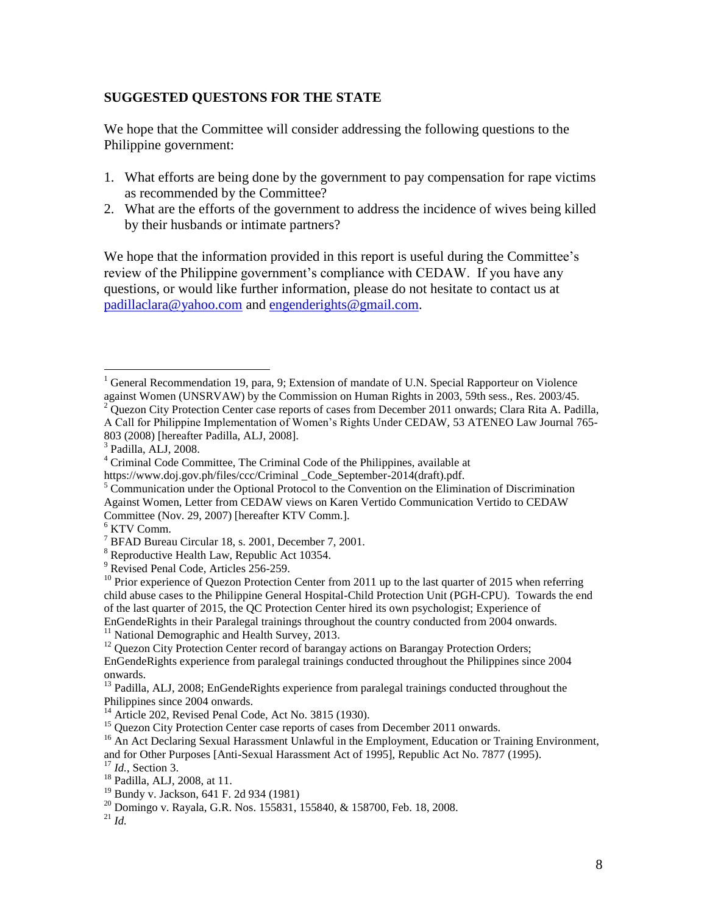#### **SUGGESTED QUESTONS FOR THE STATE**

We hope that the Committee will consider addressing the following questions to the Philippine government:

- 1. What efforts are being done by the government to pay compensation for rape victims as recommended by the Committee?
- 2. What are the efforts of the government to address the incidence of wives being killed by their husbands or intimate partners?

We hope that the information provided in this report is useful during the Committee's review of the Philippine government's compliance with CEDAW. If you have any questions, or would like further information, please do not hesitate to contact us at [padillaclara@yahoo.com](mailto:padillaclara@yahoo.com) and [engenderights@gmail.com.](mailto:engenderights@gmail.com)

 $\overline{a}$ 

 $1$  General Recommendation 19, para, 9; Extension of mandate of U.N. Special Rapporteur on Violence against Women (UNSRVAW) by the Commission on Human Rights in 2003, 59th sess., Res. 2003/45.

 $2$  Quezon City Protection Center case reports of cases from December 2011 onwards; Clara Rita A. Padilla, A Call for Philippine Implementation of Women's Rights Under CEDAW, 53 ATENEO Law Journal 765- 803 (2008) [hereafter Padilla, ALJ, 2008].

<sup>3</sup> Padilla, ALJ, 2008.

<sup>4</sup> Criminal Code Committee, The Criminal Code of the Philippines, available at

https://www.doj.gov.ph/files/ccc/Criminal Code September-2014(draft).pdf.

 $5$  Communication under the Optional Protocol to the Convention on the Elimination of Discrimination Against Women, Letter from CEDAW views on Karen Vertido Communication Vertido to CEDAW Committee (Nov. 29, 2007) [hereafter KTV Comm.].

 $^6$  KTV Comm.

<sup>7</sup> BFAD Bureau Circular 18, s. 2001, December 7, 2001.

<sup>8</sup> Reproductive Health Law, Republic Act 10354.

<sup>&</sup>lt;sup>9</sup> Revised Penal Code, Articles 256-259.

 $^{10}$  Prior experience of Quezon Protection Center from 2011 up to the last quarter of 2015 when referring child abuse cases to the Philippine General Hospital-Child Protection Unit (PGH-CPU). Towards the end of the last quarter of 2015, the QC Protection Center hired its own psychologist; Experience of EnGendeRights in their Paralegal trainings throughout the country conducted from 2004 onwards.

<sup>&</sup>lt;sup>11</sup> National Demographic and Health Survey, 2013.

<sup>&</sup>lt;sup>12</sup> Quezon City Protection Center record of barangay actions on Barangay Protection Orders; EnGendeRights experience from paralegal trainings conducted throughout the Philippines since 2004 onwards.

<sup>&</sup>lt;sup>13</sup> Padilla, ALJ, 2008; EnGendeRights experience from paralegal trainings conducted throughout the Philippines since 2004 onwards.

 $14$  Article 202, Revised Penal Code, Act No. 3815 (1930).

<sup>&</sup>lt;sup>15</sup> Quezon City Protection Center case reports of cases from December 2011 onwards.

<sup>&</sup>lt;sup>16</sup> An Act Declaring Sexual Harassment Unlawful in the Employment, Education or Training Environment, and for Other Purposes [Anti-Sexual Harassment Act of 1995], Republic Act No. 7877 (1995).

<sup>17</sup> *Id.*, Section 3.

<sup>18</sup> Padilla, ALJ, 2008, at 11.

<sup>19</sup> Bundy v. Jackson, 641 F. 2d 934 (1981)

<sup>20</sup> Domingo v. Rayala, G.R. Nos. 155831, 155840, & 158700, Feb. 18, 2008.

 $^{21}$  *Id.*